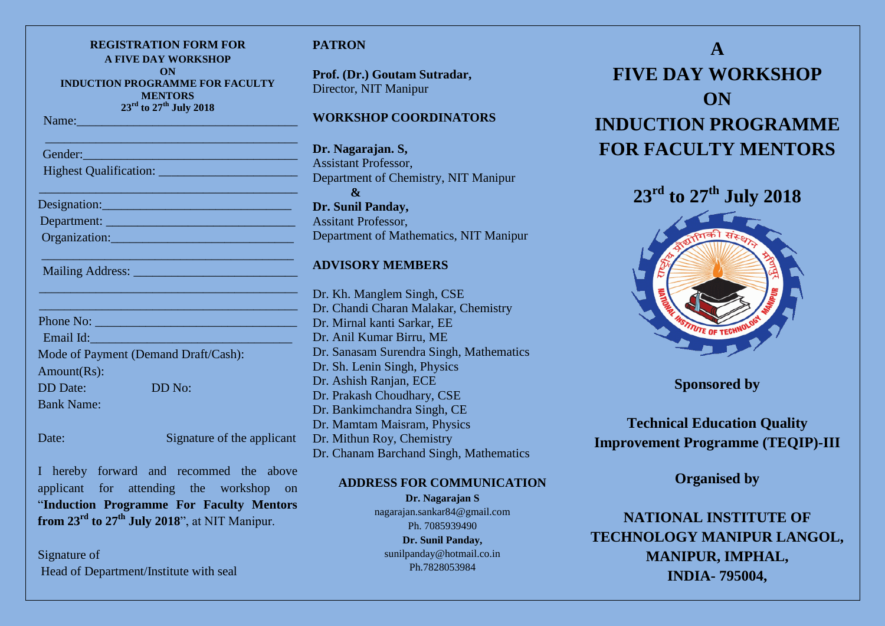| <b>REGISTRATION FORM FOR</b><br><b>A FIVE DAY WORKSHOP</b><br>ON<br><b>INDUCTION PROGRAMME FOR FACULTY</b><br><b>MENTORS</b>                                                                                                                                                     |  |
|----------------------------------------------------------------------------------------------------------------------------------------------------------------------------------------------------------------------------------------------------------------------------------|--|
| $23^{\text{rd}}$ to $27^{\text{th}}$ July 2018<br>Name: Name and the second state of the second state of the second state of the second state of the second state of the second state of the second state of the second state of the second state of the second state of the sec |  |
|                                                                                                                                                                                                                                                                                  |  |
| Gender:<br><u> 1990 - Johann Barn, mars ann an t-Amhain an t-Amhain an t-Amhain an t-Amhain an t-Amhain an t-Amhain an t-Amh</u>                                                                                                                                                 |  |
|                                                                                                                                                                                                                                                                                  |  |
|                                                                                                                                                                                                                                                                                  |  |
| Department:                                                                                                                                                                                                                                                                      |  |
| Organization: Contract of the Contract of the Contract of the Contract of the Contract of the Contract of the Contract of the Contract of the Contract of the Contract of the Contract of the Contract of the Contract of the                                                    |  |
|                                                                                                                                                                                                                                                                                  |  |
|                                                                                                                                                                                                                                                                                  |  |
| Phone No:                                                                                                                                                                                                                                                                        |  |
| Email Id:                                                                                                                                                                                                                                                                        |  |
| Mode of Payment (Demand Draft/Cash):                                                                                                                                                                                                                                             |  |
| Amount(Rs):                                                                                                                                                                                                                                                                      |  |
| DD No:<br><b>DD</b> Date:                                                                                                                                                                                                                                                        |  |
| <b>Bank Name:</b>                                                                                                                                                                                                                                                                |  |
|                                                                                                                                                                                                                                                                                  |  |

Date: Signature of the applicant

I hereby forward and recommed the above applicant for attending the workshop on "**Induction Programme For Faculty Mentors from 23rd to 27th July 2018**", at NIT Manipur.

Signature of Head of Department/Institute with seal

# **TRON**

**Prof. (Dr.) Goutam Sutradar,** ector, NIT Manipur

## **DRKSHOP COORDINATORS**

**Dr. Nagarajan. S,** sistant Professor, partment of Chemistry, NIT Manipur **& Sunil Panday,** itant Professor, partment of Mathematics, NIT Manipur

# **VISORY MEMBERS**

Kh. Manglem Singh, CSE Chandi Charan Malakar, Chemistry Mirnal kanti Sarkar, EE Dr. Anil Kumar Birru, ME Sanasam Surendra Singh, Mathematics Sh. Lenin Singh, Physics Ashish Ranjan, ECE Prakash Choudhary, CSE Bankimchandra Singh, CE Dr. Mamtam Maisram, Physics Dr. Mithun Roy, Chemistry Dr. Chanam Barchand Singh, Mathematics

## **ADDRESS FOR COMMUNICATION**

**Dr. Nagarajan S** nagarajan.sankar84@gmail.com Ph. 7085939490 **Dr. Sunil Panday,** [sunilpanday@hotmail.co.in](mailto:sunilpanday@hotmail.co.in) Ph.7828053984

# **A FIVE DAY WORKSHOP ON INDUCTION PROGRAMME FOR FACULTY MENTORS**

**23rd to 27th July 2018**



**Sponsored by**

**Technical Education Quality Improvement Programme (TEQIP)-III**

**Organised by**

**NATIONAL INSTITUTE OF TECHNOLOGY MANIPUR LANGOL, MANIPUR, IMPHAL, INDIA- 795004,**